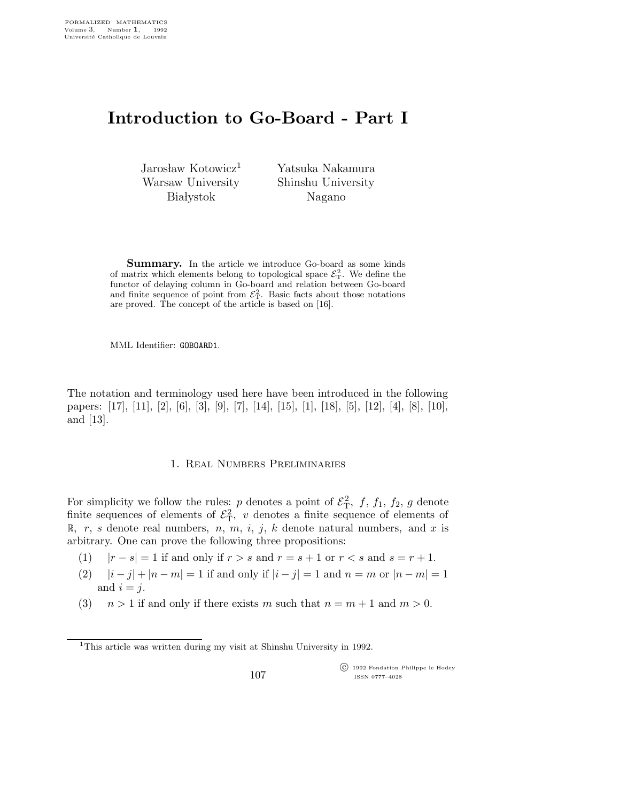# Introduction to Go-Board - Part I

Jarosław Kotowicz<sup>1</sup> Warsaw University **Bia** lystok

Yatsuka Nakamura Shinshu University Nagano

Summary. In the article we introduce Go-board as some kinds of matrix which elements belong to topological space  $\mathcal{E}_T^2$ . We define the functor of delaying column in Go-board and relation between Go-board and finite sequence of point from  $\mathcal{E}_T^2$ . Basic facts about those notations are proved. The concept of the article is based on [16].

MML Identifier: GOBOARD1.

The notation and terminology used here have been introduced in the following papers: [17], [11], [2], [6], [3], [9], [7], [14], [15], [1], [18], [5], [12], [4], [8], [10], and [13].

## 1. Real Numbers Preliminaries

For simplicity we follow the rules: p denotes a point of  $\mathcal{E}_{\rm T}^2$ , f, f<sub>1</sub>, f<sub>2</sub>, g denote finite sequences of elements of  $\mathcal{E}_{\rm T}^2$ , v denotes a finite sequence of elements of R, r, s denote real numbers, n, m, i, j, k denote natural numbers, and x is arbitrary. One can prove the following three propositions:

- (1)  $|r s| = 1$  if and only if  $r > s$  and  $r = s + 1$  or  $r < s$  and  $s = r + 1$ .
- (2)  $|i j| + |n m| = 1$  if and only if  $|i j| = 1$  and  $n = m$  or  $|n m| = 1$ and  $i = j$ .
- (3)  $n > 1$  if and only if there exists m such that  $n = m + 1$  and  $m > 0$ .

 c 1992 Fondation Philippe le Hodey ISSN 0777–4028

<sup>&</sup>lt;sup>1</sup>This article was written during my visit at Shinshu University in 1992.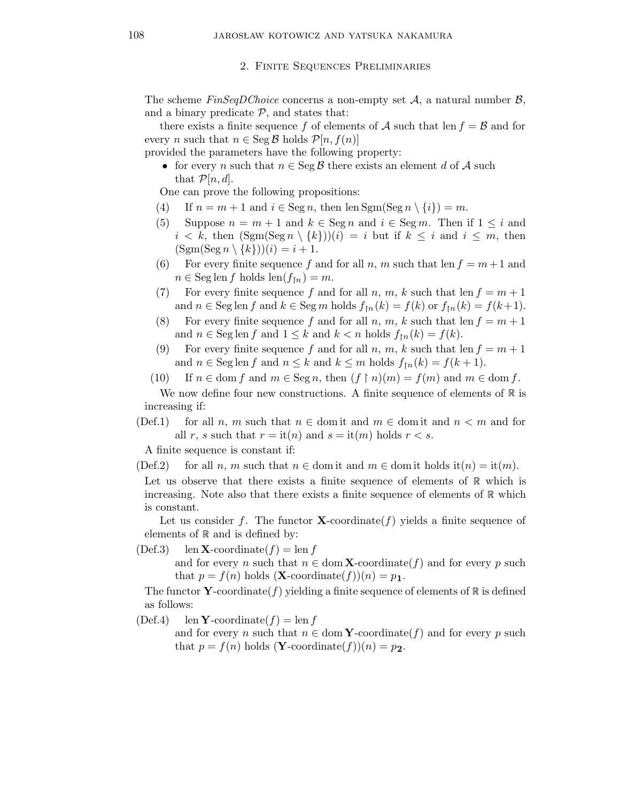2. Finite Sequences Preliminaries

The scheme  $FinSeqDChoice$  concerns a non-empty set  $A$ , a natural number  $B$ , and a binary predicate  $P$ , and states that:

there exists a finite sequence f of elements of A such that len  $f = B$  and for every *n* such that  $n \in \text{Seg } \mathcal{B}$  holds  $\mathcal{P}[n, f(n)]$ 

provided the parameters have the following property:

• for every n such that  $n \in \text{Seg } \mathcal{B}$  there exists an element d of A such that  $\mathcal{P}[n,d].$ 

One can prove the following propositions:

- (4) If  $n = m + 1$  and  $i \in \text{Seg } n$ , then  $\text{lem}(\text{Seg } n \setminus \{i\}) = m$ .
- (5) Suppose  $n = m + 1$  and  $k \in \text{Seg } n$  and  $i \in \text{Seg } m$ . Then if  $1 \leq i$  and  $i < k$ , then  $(\text{Sgm}(\text{Seg } n \setminus \{k\}))$  $(i) = i$  but if  $k \leq i$  and  $i \leq m$ , then  $(\text{Sgm}(\text{Seg } n \setminus \{k\})) (i) = i + 1.$
- (6) For every finite sequence f and for all n, m such that len  $f = m+1$  and  $n \in \text{Seg} \operatorname{len} f \text{ holds } \operatorname{len}(f_{\restriction n}) = m.$
- (7) For every finite sequence f and for all n, m, k such that len  $f = m + 1$ and  $n \in \text{Seg} \text{ len } f$  and  $k \in \text{Seg } m$  holds  $f_{\text{In}}(k) = f(k)$  or  $f_{\text{In}}(k) = f(k+1)$ .
- (8) For every finite sequence f and for all n, m, k such that len  $f = m + 1$ and  $n \in \text{Seg} \text{len } f$  and  $1 \leq k$  and  $k < n$  holds  $f_{\text{fn}}(k) = f(k)$ .
- (9) For every finite sequence f and for all n, m, k such that len  $f = m + 1$ and  $n \in \text{Seg} \operatorname{len} f$  and  $n \leq k$  and  $k \leq m$  holds  $f_{\lfloor n}(k) = f(k+1)$ .
- (10) If  $n \in \text{dom } f$  and  $m \in \text{Seg } n$ , then  $(f \restriction n)(m) = f(m)$  and  $m \in \text{dom } f$ .

We now define four new constructions. A finite sequence of elements of  $\mathbb R$  is increasing if:

(Def.1) for all n, m such that  $n \in \text{dom}$  it and  $m \in \text{dom}$  it and  $n < m$  and for all r, s such that  $r =$  it $(n)$  and  $s =$  it $(m)$  holds  $r < s$ .

A finite sequence is constant if:

(Def.2) for all n, m such that  $n \in \text{dom} \text{ it and } m \in \text{dom} \text{ it holds } \text{it}(n) = \text{it}(m)$ .

Let us observe that there exists a finite sequence of elements of  $\mathbb R$  which is increasing. Note also that there exists a finite sequence of elements of  $\mathbb R$  which is constant.

Let us consider f. The functor  $X$ -coordinate  $(f)$  yields a finite sequence of elements of  $\mathbb R$  and is defined by:

(Def.3) len **X**-coordinate( $f$ ) = len f and for every n such that  $n \in \text{dom }\mathbf{X}\text{-coordinate}(f)$  and for every p such that  $p = f(n)$  holds  $(X$ -coordinate $(f)(n) = p_1$ .

The functor Y-coordinate(f) yielding a finite sequence of elements of  $\mathbb R$  is defined as follows:

 $(Def.4)$  len **Y**-coordinate(f) = len f

and for every n such that  $n \in \text{dom }\mathbf{Y}\text{-coordinate}(f)$  and for every p such that  $p = f(n)$  holds  $(Y\text{-coordinate}(f))(n) = p_2$ .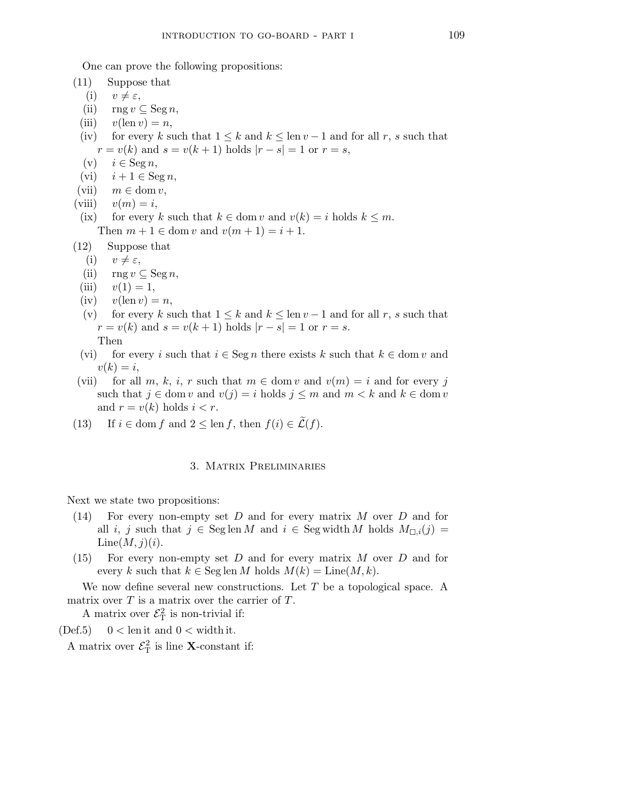One can prove the following propositions:

(11) Suppose that

- (i)  $v \neq \varepsilon$ ,
- (ii)  $\text{rng } v \subseteq \text{Seg } n,$
- (iii)  $v(\text{len } v) = n$ ,
- (iv) for every k such that  $1 \leq k$  and  $k \leq \text{len } v 1$  and for all r, s such that  $r = v(k)$  and  $s = v(k + 1)$  holds  $|r - s| = 1$  or  $r = s$ ,
- $(v)$   $i \in \text{Seg } n,$
- (vi)  $i + 1 \in \text{Seg } n$ ,
- (vii)  $m \in \text{dom } v$ ,
- (viii)  $v(m) = i$ ,
- (ix) for every k such that  $k \in \text{dom } v$  and  $v(k) = i$  holds  $k \leq m$ . Then  $m + 1 \in \text{dom } v$  and  $v(m + 1) = i + 1$ .
- (12) Suppose that
	- (i)  $v \neq \varepsilon$ ,
	- (ii)  $\text{rng } v \subseteq \text{Seg } n,$
	- (iii)  $v(1) = 1$ ,
	- (iv)  $v(\text{len } v) = n$ ,
	- (v) for every k such that  $1 \leq k$  and  $k \leq \text{len } v 1$  and for all r, s such that  $r = v(k)$  and  $s = v(k + 1)$  holds  $|r - s| = 1$  or  $r = s$ .
		- Then
	- (vi) for every i such that  $i \in \text{Seg } n$  there exists k such that  $k \in \text{dom } v$  and  $v(k) = i$ ,
- (vii) for all m, k, i, r such that  $m \in \text{dom } v$  and  $v(m) = i$  and for every j such that  $j \in \text{dom } v$  and  $v(j) = i$  holds  $j \leq m$  and  $m < k$  and  $k \in \text{dom } v$ and  $r = v(k)$  holds  $i < r$ .
- (13) If  $i \in \text{dom } f$  and  $2 \leq \text{len } f$ , then  $f(i) \in \mathcal{L}(f)$ .

# 3. Matrix Preliminaries

Next we state two propositions:

- (14) For every non-empty set D and for every matrix M over D and for all i, j such that  $j \in \text{Seg} \text{ len } M$  and  $i \in \text{Seg} \text{ width } M$  holds  $M_{\Box,i}(j) =$  $Line(M,j)(i).$
- $(15)$  For every non-empty set D and for every matrix M over D and for every k such that  $k \in \text{Seg} \text{len } M$  holds  $M(k) = \text{Line}(M, k)$ .

We now define several new constructions. Let  $T$  be a topological space. A matrix over  $T$  is a matrix over the carrier of  $T$ .

A matrix over  $\mathcal{E}_{\mathrm{T}}^2$  is non-trivial if:

(Def.5)  $0 < \text{len it}$  and  $0 < \text{width it}$ .

A matrix over  $\mathcal{E}_{\mathrm{T}}^2$  is line **X**-constant if: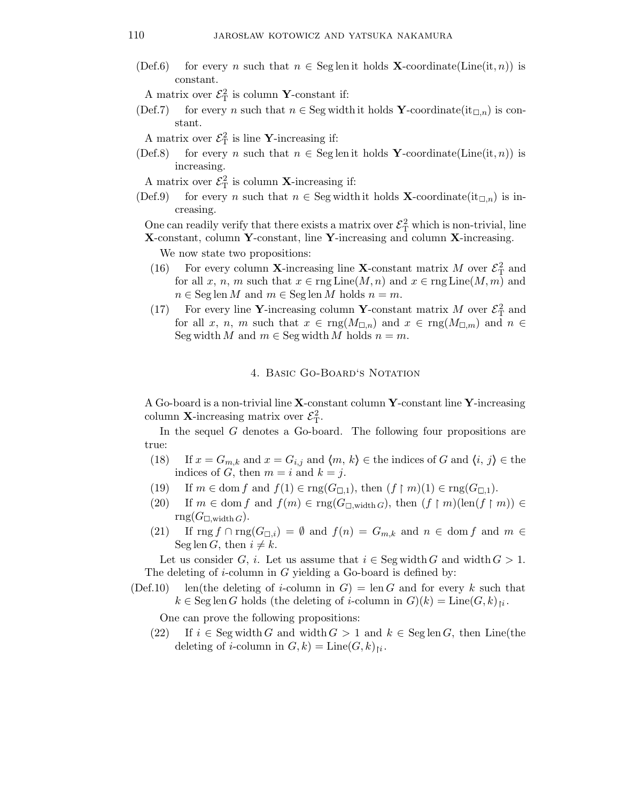(Def.6) for every n such that  $n \in \text{Seg}$  len it holds **X**-coordinate(Line(it, n)) is constant.

A matrix over  $\mathcal{E}_{\mathrm{T}}^2$  is column **Y**-constant if:

(Def.7) for every n such that  $n \in \text{Seg width it holds } Y\text{-coordinate}(\text{it}_{\Box,n})$  is constant.

A matrix over  $\mathcal{E}_{\mathrm{T}}^2$  is line **Y**-increasing if:

(Def.8) for every n such that  $n \in \text{Seg}$  len it holds Y-coordinate(Line(it, n)) is increasing.

A matrix over  $\mathcal{E}_{\mathrm{T}}^2$  is column **X**-increasing if:

(Def.9) for every n such that  $n \in \text{Seg width it holds } \mathbf{X}\text{-coordinate}(\text{it}_{\Box,n})$  is increasing.

One can readily verify that there exists a matrix over  $\mathcal{E}^2_T$  which is non-trivial, line

X-constant, column Y-constant, line Y-increasing and column X-increasing.

We now state two propositions:

- (16) For every column **X**-increasing line **X**-constant matrix M over  $\mathcal{E}_{\text{T}}^2$  and for all x, n, m such that  $x \in \text{rng Line}(M, n)$  and  $x \in \text{rng Line}(M, m)$  and  $n \in \text{Seg} \operatorname{len} M$  and  $m \in \text{Seg} \operatorname{len} M$  holds  $n = m$ .
- (17) For every line Y-increasing column Y-constant matrix M over  $\mathcal{E}_{\text{T}}^2$  and for all x, n, m such that  $x \in \text{rng}(M_{\square,n})$  and  $x \in \text{rng}(M_{\square,m})$  and  $n \in$ Seg width M and  $m \in \text{Seg width }M$  holds  $n = m$ .

## 4. Basic Go-Board's Notation

A Go-board is a non-trivial line  $X$ -constant column Y-constant line Y-increasing column **X**-increasing matrix over  $\mathcal{E}_{\mathrm{T}}^2$ .

In the sequel  $G$  denotes a Go-board. The following four propositions are true:

- (18) If  $x = G_{m,k}$  and  $x = G_{i,j}$  and  $\langle m, k \rangle \in \mathbb{R}$  the indices of G and  $\langle i, j \rangle \in \mathbb{R}$ indices of G, then  $m = i$  and  $k = j$ .
- (19) If  $m \in \text{dom } f$  and  $f(1) \in \text{rng}(G_{\Box,1}),$  then  $(f \restriction m)(1) \in \text{rng}(G_{\Box,1}).$
- (20) If  $m \in \text{dom } f$  and  $f(m) \in \text{rng}(G_{\Box,\text{width }G})$ , then  $(f \restriction m)(\text{len}(f \restriction m)) \in$  $rng(G_{\square,\text{width }G}).$
- (21) If  $\text{rng } f \cap \text{rng}(G_{\Box,i}) = \emptyset$  and  $f(n) = G_{m,k}$  and  $n \in \text{dom } f$  and  $m \in$ Seg len G, then  $i \neq k$ .

Let us consider G, i. Let us assume that  $i \in \text{Seg width } G$  and width  $G > 1$ . The deleting of  $i$ -column in  $G$  yielding a Go-board is defined by:

(Def.10) len(the deleting of i-column in  $G$ ) = len G and for every k such that  $k \in \text{Seg len } G$  holds (the deleting of *i*-column in  $G(k) = \text{Line}(G, k)_{\mid i}$ .

One can prove the following propositions:

(22) If  $i \in \text{Seg width } G$  and width  $G > 1$  and  $k \in \text{Seg len } G$ , then Line(the deleting of *i*-column in  $G, k$  = Line $(G, k)_{\mid i}$ .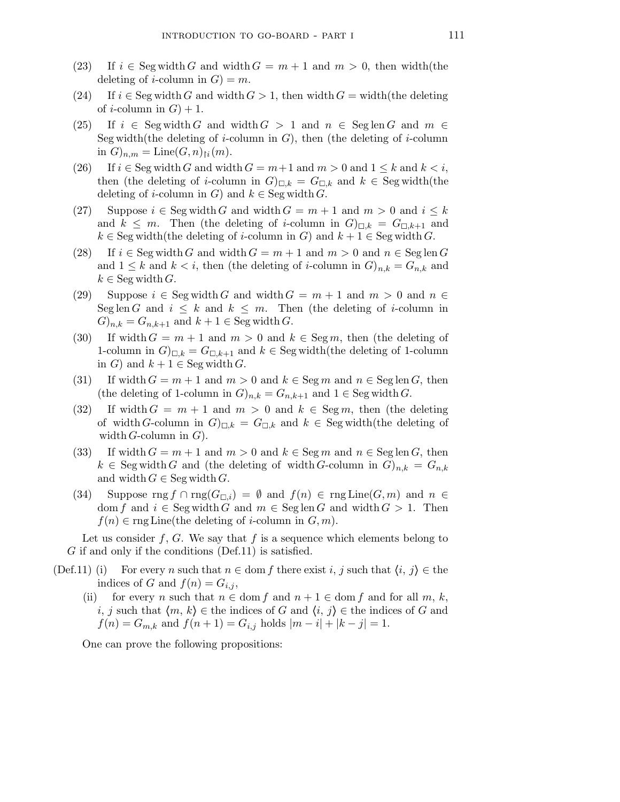- (23) If  $i \in \text{Seg width } G$  and width  $G = m + 1$  and  $m > 0$ , then width(the deleting of *i*-column in  $G$ ) = m.
- (24) If  $i \in \text{Seg width } G$  and width  $G > 1$ , then width  $G = \text{width}(\text{the deleting})$ of *i*-column in  $G$ ) + 1.
- (25) If  $i \in \text{Seg width } G$  and width  $G > 1$  and  $n \in \text{Seg len } G$  and  $m \in$ Seg width(the deleting of *i*-column in  $G$ ), then (the deleting of *i*-column in  $G)_{n,m} = \text{Line}(G,n)_{\upharpoonright i}(m)$ .
- (26) If  $i \in \text{Seg width } G$  and width  $G = m+1$  and  $m > 0$  and  $1 \leq k$  and  $k < i$ , then (the deleting of *i*-column in  $G|_{\Box,k} = G_{\Box,k}$  and  $k \in \text{Seg width}(the)$ deleting of *i*-column in G) and  $k \in \text{Seg width } G$ .
- (27) Suppose  $i \in \text{Seg width } G$  and width  $G = m + 1$  and  $m > 0$  and  $i \leq k$ and  $k \leq m$ . Then (the deleting of *i*-column in  $G|_{\Box,k} = G_{\Box,k+1}$  and  $k \in \text{Seg width}$ (the deleting of *i*-column in G) and  $k + 1 \in \text{Seg width } G$ .
- (28) If  $i \in \text{Seg width } G$  and width  $G = m + 1$  and  $m > 0$  and  $n \in \text{Seg len } G$ and  $1 \leq k$  and  $k < i$ , then (the deleting of *i*-column in  $G_{n,k} = G_{n,k}$  and  $k \in \text{Seg width } G.$
- (29) Suppose  $i \in \text{Seg width } G$  and width  $G = m + 1$  and  $m > 0$  and  $n \in$ Seg len G and  $i \leq k$  and  $k \leq m$ . Then (the deleting of *i*-column in  $(G)_{n,k} = G_{n,k+1}$  and  $k+1 \in \text{Seg width } G$ .
- (30) If width  $G = m + 1$  and  $m > 0$  and  $k \in \text{Seg } m$ , then (the deleting of 1-column in  $G|_{\Box k} = G_{\Box k+1}$  and  $k \in \text{Seg width}$  (the deleting of 1-column in G) and  $k + 1 \in \text{Seg width } G$ .
- (31) If width  $G = m + 1$  and  $m > 0$  and  $k \in \text{Seg } m$  and  $n \in \text{Seg } len G$ , then (the deleting of 1-column in  $G_{n,k} = G_{n,k+1}$  and  $1 \in \text{Seg width } G$ .
- (32) If width  $G = m + 1$  and  $m > 0$  and  $k \in \text{Seg } m$ , then (the deleting of width G-column in  $G|_{\Box,k} = G_{\Box,k}$  and  $k \in \text{Segwidth}$  (the deleting of width  $G$ -column in  $G$ ).
- (33) If width  $G = m + 1$  and  $m > 0$  and  $k \in \text{Seg } m$  and  $n \in \text{Seg } len G$ , then  $k \in \text{Seg width } G$  and (the deleting of width G-column in  $G)_{n,k} = G_{n,k}$ and width  $G \in \text{Seg width } G$ .
- (34) Suppose rng  $f \cap \text{rng}(G_{\Box,i}) = \emptyset$  and  $f(n) \in \text{rng}$  Line $(G,m)$  and  $n \in$ dom f and  $i \in \text{Seg width } G$  and  $m \in \text{Seg len } G$  and width  $G > 1$ . Then  $f(n) \in \text{rng Line}$ (the deleting of *i*-column in  $G, m$ ).

Let us consider f, G. We say that f is a sequence which elements belong to G if and only if the conditions (Def.11) is satisfied.

- (Def.11) (i) For every n such that  $n \in \text{dom } f$  there exist i, j such that  $\langle i, j \rangle \in \text{the } i$ indices of G and  $f(n) = G_{i,j}$ ,
	- (ii) for every n such that  $n \in \text{dom } f$  and  $n + 1 \in \text{dom } f$  and for all  $m, k$ , i, j such that  $\langle m, k \rangle \in \mathbb{R}$  the indices of G and  $\langle i, j \rangle \in \mathbb{R}$  indices of G and  $f(n) = G_{m,k}$  and  $f(n+1) = G_{i,j}$  holds  $|m - i| + |k - j| = 1$ .

One can prove the following propositions: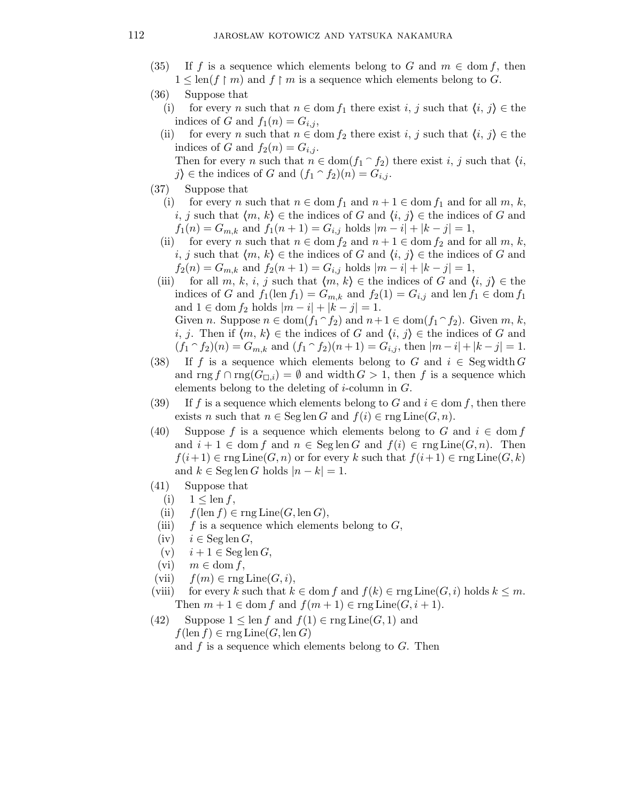- (35) If f is a sequence which elements belong to G and  $m \in \text{dom } f$ , then  $1 \leq \text{len}(f \restriction m)$  and  $f \restriction m$  is a sequence which elements belong to G.
- (36) Suppose that
	- (i) for every n such that  $n \in \text{dom } f_1$  there exist i, j such that  $\langle i, j \rangle \in \text{the}$ indices of G and  $f_1(n) = G_{i,j}$ ,
	- (ii) for every n such that  $n \in \text{dom } f_2$  there exist i, j such that  $\langle i, j \rangle \in \text{the } i$ indices of G and  $f_2(n) = G_{i,j}$ . Then for every n such that  $n \in \text{dom}(f_1 \cap f_2)$  there exist i, j such that  $\langle i, \rangle$

j) ∈ the indices of G and  $(f_1 \cap f_2)(n) = G_{i,j}$ .

- (37) Suppose that
	- (i) for every n such that  $n \in \text{dom } f_1$  and  $n + 1 \in \text{dom } f_1$  and for all  $m, k$ , i, j such that  $\langle m, k \rangle \in$  the indices of G and  $\langle i, j \rangle \in$  the indices of G and  $f_1(n) = G_{m,k}$  and  $f_1(n+1) = G_{i,j}$  holds  $|m - i| + |k - j| = 1$ ,
	- (ii) for every n such that  $n \in \text{dom } f_2$  and  $n + 1 \in \text{dom } f_2$  and for all  $m, k$ , i, j such that  $\langle m, k \rangle \in$  the indices of G and  $\langle i, j \rangle \in$  the indices of G and  $f_2(n) = G_{m,k}$  and  $f_2(n+1) = G_{i,j}$  holds  $|m - i| + |k - j| = 1$ ,
	- (iii) for all m, k, i, j such that  $\langle m, k \rangle \in$  the indices of G and  $\langle i, j \rangle \in$  the indices of G and  $f_1(\text{len } f_1) = G_{m,k}$  and  $f_2(1) = G_{i,j}$  and len  $f_1 \in \text{dom } f_1$ and 1 ∈ dom  $f_2$  holds  $|m - i| + |k - j| = 1$ . Given n. Suppose  $n \in \text{dom}(f_1 \cap f_2)$  and  $n+1 \in \text{dom}(f_1 \cap f_2)$ . Given  $m, k$ ,
		- i, j. Then if  $\langle m, k \rangle \in \mathbb{R}$  indices of G and  $\langle i, j \rangle \in \mathbb{R}$  indices of G and  $(f_1 \cap f_2)(n) = G_{m,k}$  and  $(f_1 \cap f_2)(n+1) = G_{i,j}$ , then  $|m-i|+|k-j| = 1$ .
- (38) If f is a sequence which elements belong to G and  $i \in \text{Seg width } G$ and rng  $f \cap \text{rng}(G_{\square,i}) = \emptyset$  and width  $G > 1$ , then f is a sequence which elements belong to the deleting of  $i$ -column in  $G$ .
- (39) If f is a sequence which elements belong to G and  $i \in \text{dom } f$ , then there exists n such that  $n \in \text{Seg len } G$  and  $f(i) \in \text{rng Line}(G, n)$ .
- (40) Suppose f is a sequence which elements belong to G and  $i \in \text{dom } f$ and  $i + 1 \in \text{dom } f$  and  $n \in \text{Seglen } G$  and  $f(i) \in \text{rng Line}(G, n)$ . Then  $f(i+1) \in \text{rng Line}(G,n)$  or for every k such that  $f(i+1) \in \text{rng Line}(G,k)$ and  $k \in \text{Seg len } G$  holds  $|n - k| = 1$ .
- (41) Suppose that
	- (i)  $1 \leq \text{len } f$ ,
	- (ii)  $f(\operatorname{len} f) \in \operatorname{rng} \operatorname{Line}(G, \operatorname{len} G),$
	- (iii) f is a sequence which elements belong to  $G$ ,
	- (iv)  $i \in \text{Seg len } G$ ,
	- (v)  $i + 1 \in \text{Seg len } G$ ,
- (vi)  $m \in \text{dom } f$ ,
- (vii)  $f(m) \in \text{rng Line}(G, i),$
- (viii) for every k such that  $k \in \text{dom } f$  and  $f(k) \in \text{rng Line}(G, i)$  holds  $k \leq m$ . Then  $m + 1 \in \text{dom } f$  and  $f(m + 1) \in \text{rng Line}(G, i + 1)$ .
- (42) Suppose  $1 \leq \text{len } f$  and  $f(1) \in \text{rng Line}(G, 1)$  and  $f(\operatorname{len} f) \in \operatorname{rng} \operatorname{Line}(G, \operatorname{len} G)$ and  $f$  is a sequence which elements belong to  $G$ . Then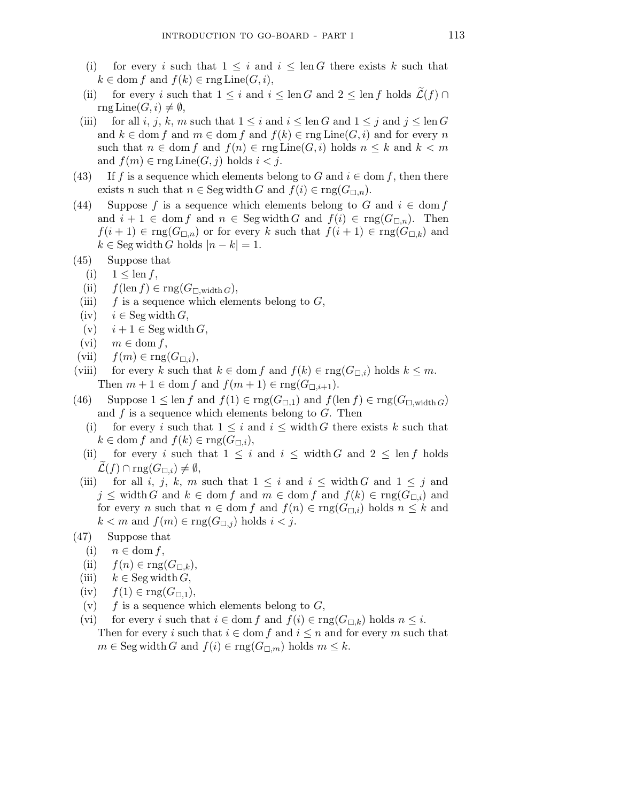- (i) for every i such that  $1 \leq i$  and  $i \leq \text{len } G$  there exists k such that  $k \in \text{dom } f$  and  $f(k) \in \text{rng Line}(G, i),$
- (ii) for every i such that  $1 \leq i$  and  $i \leq \text{len } G$  and  $2 \leq \text{len } f$  holds  $\mathcal{L}(f) \cap$  $\text{rng Line}(G,i) \neq \emptyset,$
- (iii) for all i, j, k, m such that  $1 \leq i$  and  $i \leq \text{len } G$  and  $1 \leq j$  and  $j \leq \text{len } G$ and  $k \in \text{dom } f$  and  $m \in \text{dom } f$  and  $f(k) \in \text{rng } \text{Line}(G, i)$  and for every n such that  $n \in \text{dom } f$  and  $f(n) \in \text{rng } \text{Line}(G, i)$  holds  $n \leq k$  and  $k < m$ and  $f(m) \in \text{rng Line}(G, j)$  holds  $i < j$ .
- (43) If f is a sequence which elements belong to G and  $i \in \text{dom } f$ , then there exists n such that  $n \in \text{Seg width } G$  and  $f(i) \in \text{rng}(G_{\square,n}).$
- (44) Suppose f is a sequence which elements belong to G and  $i \in \text{dom } f$ and  $i + 1 \in \text{dom } f$  and  $n \in \text{Seg width } G$  and  $f(i) \in \text{rng}(G_{\Box,n})$ . Then  $f(i+1) \in \text{rng}(G_{\Box,n})$  or for every k such that  $f(i+1) \in \text{rng}(G_{\Box,k})$  and  $k \in \text{Seg width } G \text{ holds } |n - k| = 1.$
- (45) Suppose that
	- (i)  $1 \leq \text{len } f$ ,
	- (ii)  $f(\operatorname{len} f) \in \operatorname{rng}(G_{\square,\operatorname{width} G}),$
	- (iii)  $f$  is a sequence which elements belong to  $G$ ,
	- (iv)  $i \in \text{Seg width } G,$
	- (v)  $i + 1 \in \text{Seg width } G,$
	- (vi)  $m \in \text{dom } f$ ,
- (vii)  $f(m) \in \text{rng}(G_{\square,i}),$
- (viii) for every k such that  $k \in \text{dom } f$  and  $f(k) \in \text{rng}(G_{\Box,i})$  holds  $k \leq m$ . Then  $m + 1 \in \text{dom } f$  and  $f(m + 1) \in \text{rng}(G_{\square,i+1}).$
- (46) Suppose  $1 \leq \text{len } f$  and  $f(1) \in \text{rng}(G_{\Box,1})$  and  $f(\text{len } f) \in \text{rng}(G_{\Box,\text{width }G})$ and  $f$  is a sequence which elements belong to  $G$ . Then
	- (i) for every i such that  $1 \leq i$  and  $i \leq \text{width } G$  there exists k such that  $k \in \text{dom } f \text{ and } f(k) \in \text{rng}(G_{\Box,i}),$
	- (ii) for every i such that  $1 \leq i$  and  $i \leq \text{width } G$  and  $2 \leq \text{len } f$  holds  $\mathcal{L}(f) \cap \text{rng}(G_{\square,i}) \neq \emptyset,$
	- (iii) for all i, j, k, m such that  $1 \leq i$  and  $i \leq$  width G and  $1 \leq j$  and  $j \leq \text{width } G \text{ and } k \in \text{dom } f \text{ and } m \in \text{dom } f \text{ and } f(k) \in \text{rng}(G_{\Box,i}) \text{ and }$ for every n such that  $n \in \text{dom } f$  and  $f(n) \in \text{rng}(G_{\Box,i})$  holds  $n \leq k$  and  $k < m$  and  $f(m) \in \text{rng}(G_{\square,j})$  holds  $i < j$ .
- (47) Suppose that
	- (i)  $n \in \text{dom } f$ ,
	- (ii)  $f(n) \in \text{rng}(G_{\square,k}),$
	- (iii)  $k \in \text{Seg width } G,$
	- $(iv)$   $f(1) \in \text{rng}(G_{\square,1}),$
	- (v)  $f$  is a sequence which elements belong to  $G$ ,
	- (vi) for every i such that  $i \in \text{dom } f$  and  $f(i) \in \text{rng}(G_{\Box,k})$  holds  $n \leq i$ . Then for every i such that  $i \in \text{dom } f$  and  $i \leq n$  and for every m such that  $m \in \text{Seg width } G \text{ and } f(i) \in \text{rng}(G_{\square,m}) \text{ holds } m \leq k.$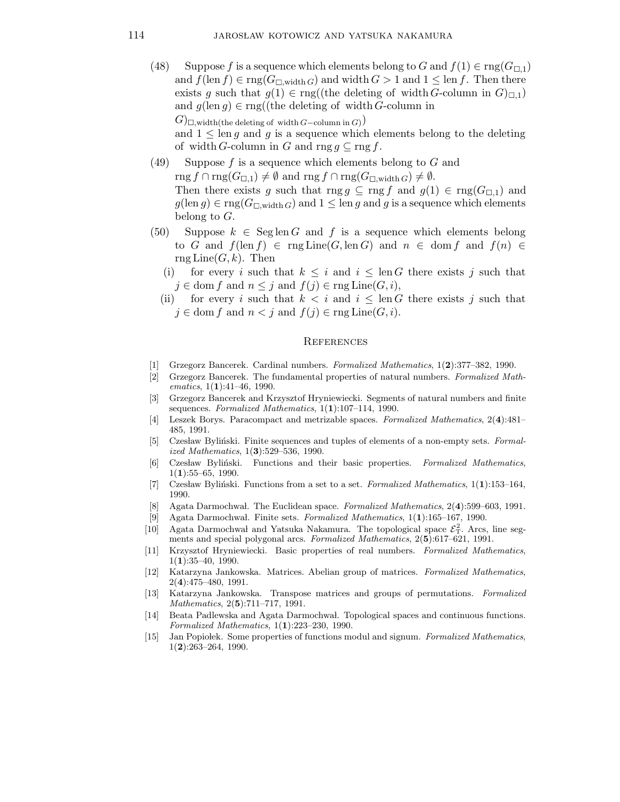- (48) Suppose f is a sequence which elements belong to G and  $f(1) \in \text{rng}(G_{\Box,1})$ and  $f(\text{len } f) \in \text{rng}(G_{\Box,\text{width }G})$  and width  $G > 1$  and  $1 \leq \text{len } f$ . Then there exists g such that  $g(1) \in \text{rng}((\text{the deleting of width } G\text{-column in } G)_{\square,1})$ and  $g(\text{len } g) \in \text{rng}((\text{the deleting of width } G\text{-column in}))$  $(G)$ <sub> $\Box$ </sub>,width(the deleting of width  $G$ –column in  $G)$ ) and  $1 \leq \text{len } q$  and q is a sequence which elements belong to the deleting of width G-column in G and rng  $g \subseteq \text{rng } f$ .
- $(49)$  Suppose f is a sequence which elements belong to G and  $\text{rng } f \cap \text{rng}(G_{\Box,1}) \neq \emptyset \text{ and rng } f \cap \text{rng}(G_{\Box,\text{width }G}) \neq \emptyset.$ Then there exists g such that rng g  $\subseteq$  rng f and  $g(1) \in \text{rng}(G_{\Box,1})$  and  $g(\text{len } g) \in \text{rng}(G_{\square,\text{width } G})$  and  $1 \leq \text{len } g$  and g is a sequence which elements belong to G.
- (50) Suppose  $k \in \text{Seg}$  len G and f is a sequence which elements belong to G and  $f(\operatorname{len} f) \in \operatorname{rng} \operatorname{Line}(G, \operatorname{len} G)$  and  $n \in \operatorname{dom} f$  and  $f(n) \in$  $\mathrm{rng}$  Line $(G,k)$ . Then
	- (i) for every i such that  $k \leq i$  and  $i \leq \text{len } G$  there exists j such that  $j \in \text{dom } f \text{ and } n \leq j \text{ and } f(j) \in \text{rng Line}(G, i),$
	- (ii) for every i such that  $k < i$  and  $i \leq \text{len } G$  there exists j such that  $j \in \text{dom } f$  and  $n < j$  and  $f(j) \in \text{rng Line}(G, i)$ .

#### **REFERENCES**

- [1] Grzegorz Bancerek. Cardinal numbers. Formalized Mathematics, 1(2):377–382, 1990.
- [2] Grzegorz Bancerek. The fundamental properties of natural numbers. Formalized Mathematics,  $1(1):41-46$ , 1990.
- [3] Grzegorz Bancerek and Krzysztof Hryniewiecki. Segments of natural numbers and finite sequences. Formalized Mathematics,  $1(1):107-114$ , 1990.
- [4] Leszek Borys. Paracompact and metrizable spaces. Formalized Mathematics, 2(4):481– 485, 1991.
- [5] Czesław Byliński. Finite sequences and tuples of elements of a non-empty sets. Formalized Mathematics, 1(3):529–536, 1990.
- [6] Czesław Byliński. Functions and their basic properties. Formalized Mathematics,  $1(1):55-65, 1990.$
- [7] Czesław Byliński. Functions from a set to a set. Formalized Mathematics, 1(1):153–164, 1990.
- [8] Agata Darmochwal. The Euclidean space. Formalized Mathematics, 2(4):599–603, 1991.
- [9] Agata Darmochwal. Finite sets. Formalized Mathematics,  $1(1):165-167$ , 1990.
- [10] Agata Darmochwal and Yatsuka Nakamura. The topological space  $\mathcal{E}_T^2$ . Arcs, line segments and special polygonal arcs. Formalized Mathematics,  $2(5):617-621$ , 1991.
- [11] Krzysztof Hryniewiecki. Basic properties of real numbers. Formalized Mathematics,  $1(1):35-40, 1990.$
- [12] Katarzyna Jankowska. Matrices. Abelian group of matrices. Formalized Mathematics, 2(4):475–480, 1991.
- [13] Katarzyna Jankowska. Transpose matrices and groups of permutations. Formalized Mathematics, 2(5):711–717, 1991.
- [14] Beata Padlewska and Agata Darmochwal. Topological spaces and continuous functions. Formalized Mathematics, 1(1):223–230, 1990.
- [15] Jan Popiolek. Some properties of functions modul and signum. Formalized Mathematics,  $1(2):263-264, 1990.$